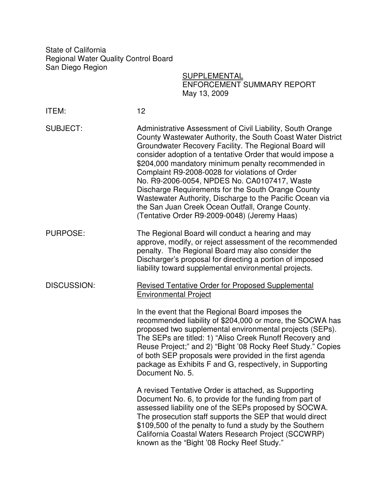State of California Regional Water Quality Control Board San Diego Region

**SUPPLEMENTAL** ENFORCEMENT SUMMARY REPORT May 13, 2009

| <b>ITEM:</b>       | 12                                                                                                                                                                                                                                                                                                                                                                                                                                                                                                                                                                                                                              |
|--------------------|---------------------------------------------------------------------------------------------------------------------------------------------------------------------------------------------------------------------------------------------------------------------------------------------------------------------------------------------------------------------------------------------------------------------------------------------------------------------------------------------------------------------------------------------------------------------------------------------------------------------------------|
| <b>SUBJECT:</b>    | Administrative Assessment of Civil Liability, South Orange<br>County Wastewater Authority, the South Coast Water District<br>Groundwater Recovery Facility. The Regional Board will<br>consider adoption of a tentative Order that would impose a<br>\$204,000 mandatory minimum penalty recommended in<br>Complaint R9-2008-0028 for violations of Order<br>No. R9-2006-0054, NPDES No. CA0107417, Waste<br>Discharge Requirements for the South Orange County<br>Wastewater Authority, Discharge to the Pacific Ocean via<br>the San Juan Creek Ocean Outfall, Orange County.<br>(Tentative Order R9-2009-0048) (Jeremy Haas) |
| <b>PURPOSE:</b>    | The Regional Board will conduct a hearing and may<br>approve, modify, or reject assessment of the recommended<br>penalty. The Regional Board may also consider the<br>Discharger's proposal for directing a portion of imposed<br>liability toward supplemental environmental projects.                                                                                                                                                                                                                                                                                                                                         |
| <b>DISCUSSION:</b> | <b>Revised Tentative Order for Proposed Supplemental</b><br><b>Environmental Project</b><br>In the event that the Regional Board imposes the<br>recommended liability of \$204,000 or more, the SOCWA has<br>proposed two supplemental environmental projects (SEPs).<br>The SEPs are titled: 1) "Aliso Creek Runoff Recovery and<br>Reuse Project;" and 2) "Bight '08 Rocky Reef Study." Copies<br>of both SEP proposals were provided in the first agenda<br>package as Exhibits F and G, respectively, in Supporting<br>Document No. 5.                                                                                      |
|                    | A revised Tentative Order is attached, as Supporting<br>Document No. 6, to provide for the funding from part of<br>assessed liability one of the SEPs proposed by SOCWA.<br>The prosecution staff supports the SEP that would direct<br>\$109,500 of the penalty to fund a study by the Southern<br>California Coastal Waters Research Project (SCCWRP)<br>known as the "Bight '08 Rocky Reef Study."                                                                                                                                                                                                                           |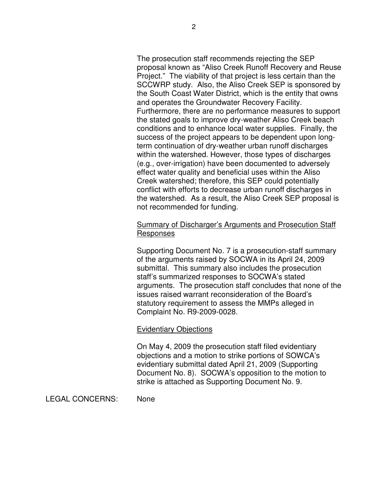The prosecution staff recommends rejecting the SEP proposal known as "Aliso Creek Runoff Recovery and Reuse Project." The viability of that project is less certain than the SCCWRP study. Also, the Aliso Creek SEP is sponsored by the South Coast Water District, which is the entity that owns and operates the Groundwater Recovery Facility. Furthermore, there are no performance measures to support the stated goals to improve dry-weather Aliso Creek beach conditions and to enhance local water supplies. Finally, the success of the project appears to be dependent upon longterm continuation of dry-weather urban runoff discharges within the watershed. However, those types of discharges (e.g., over-irrigation) have been documented to adversely effect water quality and beneficial uses within the Aliso Creek watershed; therefore, this SEP could potentially conflict with efforts to decrease urban runoff discharges in the watershed. As a result, the Aliso Creek SEP proposal is not recommended for funding.

## Summary of Discharger's Arguments and Prosecution Staff Responses

Supporting Document No. 7 is a prosecution-staff summary of the arguments raised by SOCWA in its April 24, 2009 submittal. This summary also includes the prosecution staff's summarized responses to SOCWA's stated arguments. The prosecution staff concludes that none of the issues raised warrant reconsideration of the Board's statutory requirement to assess the MMPs alleged in Complaint No. R9-2009-0028.

## Evidentiary Objections

On May 4, 2009 the prosecution staff filed evidentiary objections and a motion to strike portions of SOWCA's evidentiary submittal dated April 21, 2009 (Supporting Document No. 8). SOCWA's opposition to the motion to strike is attached as Supporting Document No. 9.

LEGAL CONCERNS: None